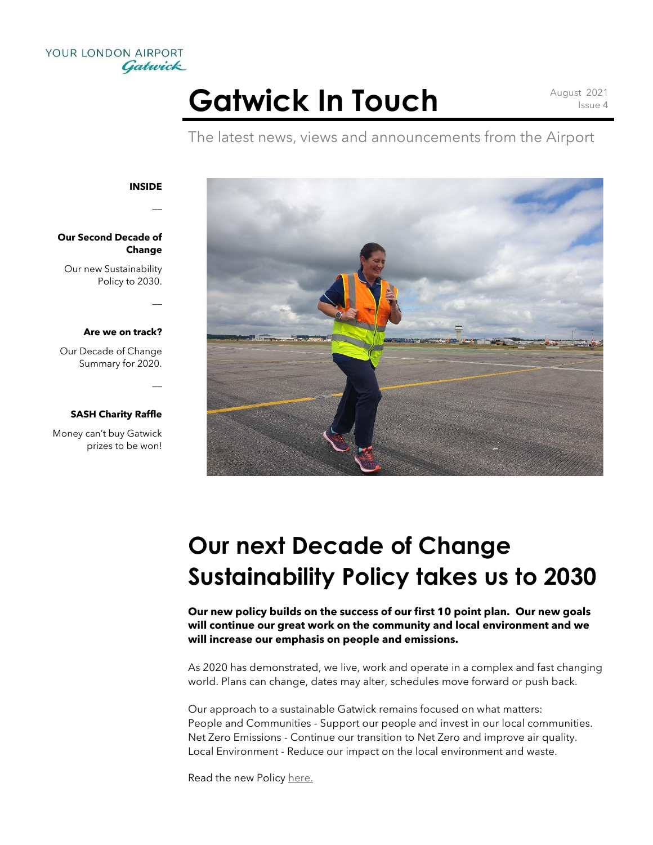

# Gatwick In Touch August 2021

Issue 4

The latest news, views and announcements from the Airport



 $\overline{a}$ 

 $\overline{a}$ 

 $\overline{a}$ 

### **Our Second Decade of Change**

Our new Sustainability Policy to 2030.

#### **Are we on track?**

Our Decade of Change Summary for 2020.

### **SASH Charity Raffle**

Money can't buy Gatwick prizes to be won!



## **Our next Decade of Change Sustainability Policy takes us to 2030**

**Our new policy builds on the success of our first 10 point plan. Our new goals will continue our great work on the community and local environment and we will increase our emphasis on people and emissions.**

As 2020 has demonstrated, we live, work and operate in a complex and fast changing world. Plans can change, dates may alter, schedules move forward or push back.

Our approach to a sustainable Gatwick remains focused on what matters: People and Communities - Support our people and invest in our local communities. Net Zero Emissions - Continue our transition to Net Zero and improve air quality. Local Environment - Reduce our impact on the local environment and waste.

Read the new Policy [here.](https://www.gatwickairport.com/globalassets/company/sustainability/reports/2021/decade-of-change-policy-to-2030.pdf)